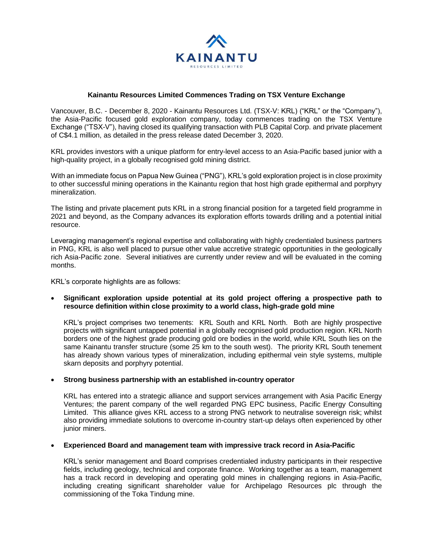

# **Kainantu Resources Limited Commences Trading on TSX Venture Exchange**

Vancouver, B.C. - December 8, 2020 - Kainantu Resources Ltd. (TSX-V: KRL) ("KRL" or the "Company"), the Asia-Pacific focused gold exploration company, today commences trading on the TSX Venture Exchange ("TSX-V"), having closed its qualifying transaction with PLB Capital Corp. and private placement of C\$4.1 million, as detailed in the press release dated December 3, 2020.

KRL provides investors with a unique platform for entry-level access to an Asia-Pacific based junior with a high-quality project, in a globally recognised gold mining district.

With an immediate focus on Papua New Guinea ("PNG"), KRL's gold exploration project is in close proximity to other successful mining operations in the Kainantu region that host high grade epithermal and porphyry mineralization.

The listing and private placement puts KRL in a strong financial position for a targeted field programme in 2021 and beyond, as the Company advances its exploration efforts towards drilling and a potential initial resource.

Leveraging management's regional expertise and collaborating with highly credentialed business partners in PNG, KRL is also well placed to pursue other value accretive strategic opportunities in the geologically rich Asia-Pacific zone. Several initiatives are currently under review and will be evaluated in the coming months.

KRL's corporate highlights are as follows:

## • **Significant exploration upside potential at its gold project offering a prospective path to resource definition within close proximity to a world class, high-grade gold mine**

KRL's project comprises two tenements: KRL South and KRL North. Both are highly prospective projects with significant untapped potential in a globally recognised gold production region. KRL North borders one of the highest grade producing gold ore bodies in the world, while KRL South lies on the same Kainantu transfer structure (some 25 km to the south west). The priority KRL South tenement has already shown various types of mineralization, including epithermal vein style systems, multiple skarn deposits and porphyry potential.

## • **Strong business partnership with an established in-country operator**

KRL has entered into a strategic alliance and support services arrangement with Asia Pacific Energy Ventures; the parent company of the well regarded PNG EPC business, Pacific Energy Consulting Limited. This alliance gives KRL access to a strong PNG network to neutralise sovereign risk; whilst also providing immediate solutions to overcome in-country start-up delays often experienced by other junior miners.

### • **Experienced Board and management team with impressive track record in Asia-Pacific**

KRL's senior management and Board comprises credentialed industry participants in their respective fields, including geology, technical and corporate finance. Working together as a team, management has a track record in developing and operating gold mines in challenging regions in Asia-Pacific, including creating significant shareholder value for Archipelago Resources plc through the commissioning of the Toka Tindung mine.